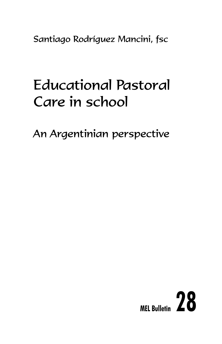Santiago Rodríguez Mancini, fsc

# Educational Pastoral Care in school

An Argentinian perspective

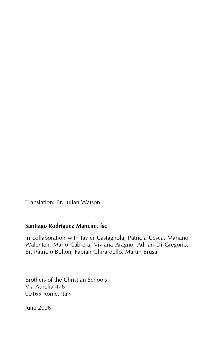Translation: Br. Julian Watson

#### **Santiago Rodríguez Mancini, fsc**

In collaboration with Javier Castagnola, Patricia Cesca, Mariano Walenten, Mario Cabrera, Viviana Aragno, Adrian Di Gregorio, Br. Patricio Bolton, Fabián Ghirardello, Martín Brusa.

Brothers of the Christian Schools Via Aurelia 476 00165 Rome, Italy

June 2006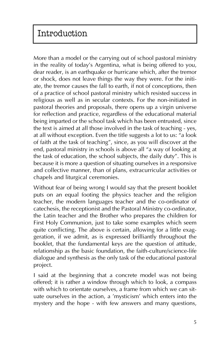More than a model or the carrying out of school pastoral ministry in the reality of today's Argentina, what is being offered to you, dear reader, is an earthquake or hurricane which, after the tremor or shock, does not leave things the way they were. For the initiate, the tremor causes the fall to earth, if not of conceptions, then of a practice of school pastoral ministry which resisted success in religious as well as in secular contexts. For the non-initiated in pastoral theories and proposals, there opens up a virgin universe for reflection and practice, regardless of the educational material being imparted or the school task which has been entrusted, since the text is aimed at all those involved in the task of teaching - yes, at all without exception. Even the title suggests a lot to us: "a look of faith at the task of teaching", since, as you will discover at the end, pastoral ministry in schools is above all "a way of looking at the task of education, the school subjects, the daily duty". This is because it is more a question of situating ourselves in a responsive and collective manner, than of plans, extracurricular activities or chapels and liturgical ceremonies.

Without fear of being wrong I would say that the present booklet puts on an equal footing the physics teacher and the religion teacher, the modern languages teacher and the co-ordinator of catechesis, the receptionist and the Pastoral Ministry co-ordinator, the Latin teacher and the Brother who prepares the children for First Holy Communion, just to take some examples which seem quite conflicting. The above is certain, allowing for a little exaggeration, if we admit, as is expressed brilliantly throughout the booklet, that the fundamental keys are the question of attitude, relationship as the basic foundation, the faith-culture/science-life dialogue and synthesis as the only task of the educational pastoral project.

I said at the beginning that a concrete model was not being offered; it is rather a window through which to look, a compass with which to orientate ourselves, a frame from which we can situate ourselves in the action, a 'mysticism' which enters into the mystery and the hope - with few answers and many questions,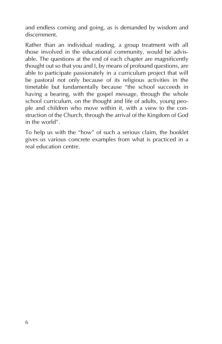and endless coming and going, as is demanded by wisdom and discernment.

Rather than an individual reading, a group treatment with all those involved in the educational community, would be advisable. The questions at the end of each chapter are magnificently thought out so that you and I, by means of profound questions, are able to participate passionately in a curriculum project that will be pastoral not only because of its religious activities in the timetable but fundamentally because "the school succeeds in having a bearing, with the gospel message, through the whole school curriculum, on the thought and life of adults, young people and children who move within it, with a view to the construction of the Church, through the arrival of the Kingdom of God in the world".

To help us with the "how" of such a serious claim, the booklet gives us various concrete examples from what is practiced in a real education centre.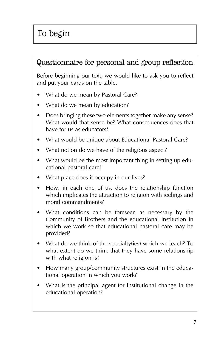#### Questionnaire for personal and group reflection

Before beginning our text, we would like to ask you to reflect and put your cards on the table.

- What do we mean by Pastoral Care?
- What do we mean by education?
- Does bringing these two elements together make any sense? What would that sense be? What consequences does that have for us as educators?
- What would be unique about Educational Pastoral Care?
- What notion do we have of the religious aspect?
- What would be the most important thing in setting up educational pastoral care?
- What place does it occupy in our lives?
- How, in each one of us, does the relationship function which implicates the attraction to religion with feelings and moral commandments?
- What conditions can be foreseen as necessary by the Community of Brothers and the educational institution in which we work so that educational pastoral care may be provided?
- What do we think of the specialty(ies) which we teach? To what extent do we think that they have some relationship with what religion is?
- How many group/community structures exist in the educational operation in which you work?
- What is the principal agent for institutional change in the educational operation?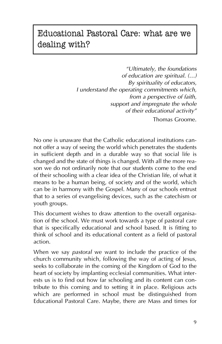# Educational Pastoral Care: what are we dealing with?

*"Ultimately, the foundations of education are spiritual. (…) By spirituality of educators, I understand the operating commitments which, from a perspective of faith, support and impregnate the whole of their educational activity"* Thomas Groome.

No one is unaware that the Catholic educational institutions cannot offer a way of seeing the world which penetrates the students in sufficient depth and in a durable way so that social life is changed and the state of things is changed. With all the more reason we do not ordinarily note that our students come to the end of their schooling with a clear idea of the Christian life, of what it means to be a human being, of society and of the world, which can be in harmony with the Gospel. Many of our schools entrust that to a series of evangelising devices, such as the catechism or youth groups.

This document wishes to draw attention to the overall organisation of the school. We must work towards a type of pastoral care that is specifically educational and school based. It is fitting to think of school and its educational content as a field of pastoral action.

When we say *pastoral* we want to include the practice of the church community which, following the way of acting of Jesus, seeks to collaborate in the coming of the Kingdom of God to the heart of society by implanting ecclesial communities. What interests us is to find out how far schooling and its content can contribute to this coming and to setting it in place. Religious acts which are performed in school must be distinguished from Educational Pastoral Care. Maybe, there are Mass and times for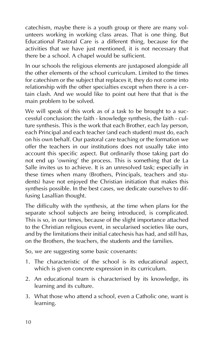catechism, maybe there is a youth group or there are many volunteers working in working class areas. That is one thing. But Educational Pastoral Care is a different thing, because for the activities that we have just mentioned, it is not necessary that there be a school. A chapel would be sufficient.

In our schools the religious elements are juxtaposed alongside all the other elements of the school curriculum. Limited to the times for catechism or the subject that replaces it, they do not come into relationship with the other specialties except when there is a certain clash. And we would like to point out here that that is the main problem to be solved.

We will speak of this work as of a task to be brought to a successful conclusion: the faith - knowledge synthesis, the faith - culture synthesis. This is the work that each Brother, each lay person, each Principal and each teacher (and each student) must do, each on his own behalf. Our pastoral care teaching or the formation we offer the teachers in our institutions does not usually take into account this specific aspect. But ordinarily those taking part do not end up 'owning' the process. This is something that de La Salle invites us to achieve. It is an unresolved task; especially in these times when many (Brothers, Principals, teachers and students) have not enjoyed the Christian initiation that makes this synthesis possible. In the best cases, we dedicate ourselves to diffusing Lasallian thought.

The difficulty with the synthesis, at the time when plans for the separate school subjects are being introduced, is complicated. This is so, in our times, because of the slight importance attached to the Christian religious event, in secularised societies like ours, and by the limitations their initial catechesis has had, and still has, on the Brothers, the teachers, the students and the families.

So, we are suggesting some basic covenants:

- 1. The characteristic of the school is its educational aspect, which is given concrete expression in its curriculum.
- 2. An educational team is characterised by its knowledge, its learning and its culture.
- 3. What those who attend a school, even a Catholic one, want is learning.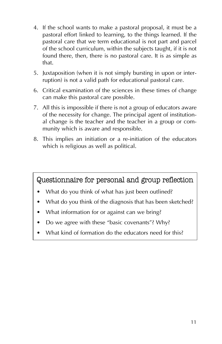- 4. If the school wants to make a pastoral proposal, it must be a pastoral effort linked to learning, to the things learned. If the pastoral care that we term educational is not part and parcel of the school curriculum, within the subjects taught, if it is not found there, then, there is no pastoral care. It is as simple as that.
- 5. Juxtaposition (when it is not simply bursting in upon or interruption) is not a valid path for educational pastoral care.
- 6. Critical examination of the sciences in these times of change can make this pastoral care possible.
- 7. All this is impossible if there is not a group of educators aware of the necessity for change. The principal agent of institutional change is the teacher and the teacher in a group or community which is aware and responsible.
- 8. This implies an initiation or a re-initiation of the educators which is religious as well as political.

Questionnaire for personal and group reflection

- What do you think of what has just been outlined?
- What do you think of the diagnosis that has been sketched?
- What information for or against can we bring?
- Do we agree with these "basic covenants"? Why?
- What kind of formation do the educators need for this?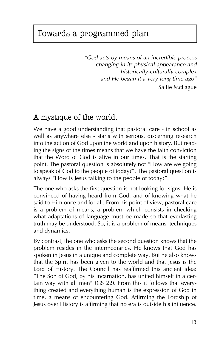# Towards a programmed plan

*"God acts by means of an incredible process changing in its physical appearance and historically-culturally complex and He began it a very long time ago"* Sallie McFague

#### A mystique of the world.

We have a good understanding that pastoral care - in school as well as anywhere else - starts with serious, discerning research into the action of God upon the world and upon history. But reading the signs of the times means that we have the faith conviction that the Word of God is alive in our times. That is the starting point. The pastoral question is absolutely not "How are we going to speak of God to the people of today?". The pastoral question is always "How is Jesus talking to the people of today?".

The one who asks the first question is not looking for signs. He is convinced of having heard from God, and of knowing what he said to Him once and for all. From his point of view, pastoral care is a problem of means, a problem which consists in checking what adaptations of language must be made so that everlasting truth may be understood. So, it is a problem of means, techniques and dynamics.

By contrast, the one who asks the second question knows that the problem resides in the intermediaries. He knows that God has spoken in Jesus in a unique and complete way. But he also knows that the Spirit has been given to the world and that Jesus is the Lord of History. The Council has reaffirmed this ancient idea: "The Son of God, by his incarnation, has united himself in a certain way with all men" (GS 22). From this it follows that everything created and everything human is the expression of God in time, a means of encountering God. Affirming the Lordship of Jesus over History is affirming that no era is outside his influence.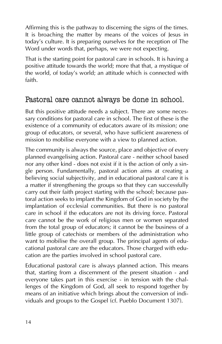Affirming this is the pathway to discerning the signs of the times. It is broaching the matter by means of the voices of Jesus in today's culture. It is preparing ourselves for the reception of The Word under words that, perhaps, we were not expecting.

That is the starting point for pastoral care in schools. It is having a positive attitude towards the world; more that that, a mystique of the world, of today's world; an attitude which is connected with faith.

#### Pastoral care cannot always be done in school.

But this positive attitude needs a subject. There are some necessary conditions for pastoral care in school. The first of these is the existence of a community of educators aware of its mission; one group of educators, or several, who have sufficient awareness of mission to mobilise everyone with a view to planned action.

The community is always the source, place and objective of every planned evangelising action. Pastoral care - neither school based nor any other kind - does not exist if it is the action of only a single person. Fundamentally, pastoral action aims at creating a believing social subjectivity, and in educational pastoral care it is a matter if strengthening the groups so that they can successfully carry out their faith project starting with the school; because pastoral action seeks to implant the Kingdom of God in society by the implantation of ecclesial communities. But there is no pastoral care in school if the educators are not its driving force. Pastoral care cannot be the work of religious men or women separated from the total group of educators; it cannot be the business of a little group of catechists or members of the administration who want to mobilise the overall group. The principal agents of educational pastoral care are the educators. Those charged with education are the parties involved in school pastoral care.

Educational pastoral care is always planned action. This means that, starting from a discernment of the present situation - and everyone takes part in this exercise - in tension with the challenges of the Kingdom of God, all seek to respond together by means of an initiative which brings about the conversion of individuals and groups to the Gospel (cf. Pueblo Document 1307).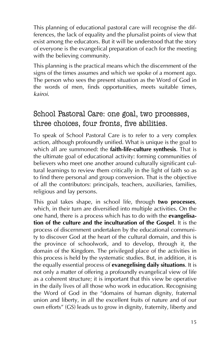This planning of educational pastoral care will recognise the differences, the lack of equality and the plursalist points of view that exist among the educators. But it will be understood that the story of everyone is the evangelical preparation of each for the meeting with the believing community.

This planning is the practical means which the discernment of the signs of the times assumes and which we spoke of a moment ago. The person who sees the present situation as the Word of God in the words of men, finds opportunities, meets suitable times, *kairoi*.

### School Pastoral Care: one goal, two processes, three choices, four fronts, five abilities.

To speak of School Pastoral Care is to refer to a very complex action, although profoundly unified. What is unique is the goal to which all are summoned: the **faith-life-culture synthesis**. That is the ultimate goal of educational activity: forming communities of believers who meet one another around culturally significant cultural learnings to review them critically in the light of faith so as to find there personal and group conversion. That is the objective of all the contributors: principals, teachers, auxiliaries, families, religious and lay persons.

This goal takes shape, in school life, through **two processes**, which, in their turn are diversified into multiple activities. On the one hand, there is a process which has to do with the **evangelisation of the culture and the inculturation of the Gospel**. It is the process of discernment undertaken by the educational community to discover God at the heart of the cultural domain, and this is the province of schoolwork, and to develop, through it, the domain of the Kingdom. The privileged place of the activities in this process is held by the systematic studies. But, in addition, it is the equally essential process of **evanegelising daily situations**. It is not only a matter of offering a profoundly evangelical view of life as a coherent structure; it is important that this view be operative in the daily lives of all those who work in education. Recognising the Word of God in the "domains of human dignity, fraternal union and liberty, in all the excellent fruits of nature and of our own efforts" (GS) leads us to grow in dignity, fraternity, liberty and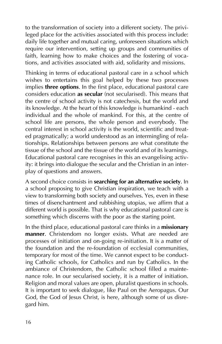to the transformation of society into a different society. The privileged place for the activities associated with this process include: daily life together and mutual caring, unforeseen situations which require our intervention, setting up groups and communities of faith, learning how to make choices and the fostering of vocations, and activities associated with aid, solidarity and missions.

Thinking in terms of educational pastoral care in a school which wishes to entertains this goal helped by these two processes implies **three options**. In the first place, educational pastoral care considers education **as secular** (not secularised). This means that the centre of school activity is not catechesis, but the world and its knowledge. At the heart of this knowledge is humankind - each individual and the whole of mankind. For this, at the centre of school life are persons, the whole person and everybody. The central interest in school activity is the world, scientific and treated pragmatically; a world understood as an intermingling of relationships. Relationships between persons are what constitute the tissue of the school and the tissue of the world and of its learnings. Educational pastoral care recognises in this an evangelising activity: it brings into dialogue the secular and the Christian in an interplay of questions and answers.

A second choice consists in **searching for an alternative society**. In a school proposing to give Christian inspiration, we teach with a view to transforming both society and ourselves. Yes, even in these times of disenchantment and rubbishing utopias, we affirm that a different world is possible. That is why educational pastoral care is something which discerns with the poor as the starting point.

In the third place, educational pastoral care thinks in a **missionary manner**. Christendom no longer exists. What are needed are processes of initiation and on-going re-initiation. It is a matter of the foundation and the re-foundation of ecclesial communities, temporary for most of the time. We cannot expect to be conducting Catholic schools, for Catholics and run by Catholics. In the ambiance of Christendom, the Catholic school filled a maintenance role. In our secularised society, it is a matter of initiation. Religion and moral values are open, pluralist questions in schools. It is important to seek dialogue, like Paul on the Aeropagus. Our God, the God of Jesus Christ, is here, although some of us disregard him.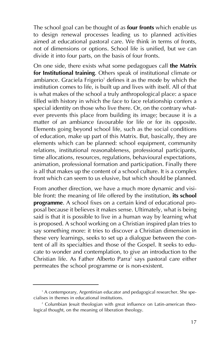The school goal can be thought of as **four fronts** which enable us to design renewal processes leading us to planned activities aimed at educational pastoral care. We think in terms of fronts, not of dimensions or options. School life is unified, but we can divide it into four parts, on the basis of four fronts.

On one side, there exists what some pedagogues call **the Matrix for Institutional training**. Others speak of institutional climate or ambiance. Graciela Frigerio<sup>1</sup> defines it as the mode by which the institution comes to life, is built up and lives with itself. All of that is what makes of the school a truly anthropological place: a space filled with history in which the face to face relationship confers a special identity on those who live there. Or, on the contrary whatever prevents this place from building its image; because it is a matter of an ambiance favourable for life or for its opposite. Elements going beyond school life, such as the social conditions of education, make up part of this Matrix. But, basically, they are elements which can be planned: school equipment, community relations, institutional reasonableness, professional participants, time allocations, resources, regulations, behavioural expectations, animation, professional formation and participation. Finally there is all that makes up the content of a school culture. It is a complex front which can seem to us elusive, but which should be planned.

From another direction, we have a much more dynamic and visible front: the meaning of life offered by the institution, **its school programme**. A school fixes on a certain kind of educational proposal because it believes it makes sense. Ultimately, what is being said is that it is possible to live in a human way by learning what is proposed. A school working on a Christian inspired plan tries to say something more: it tries to discover a Christian dimension in these very learnings, seeks to set up a dialogue between the content of all its specialties and those of the Gospel. It seeks to educate to wonder and contemplation, to give an introduction to the Christian life. As Father Alberto Parra<sup>2</sup> says pastoral care either permeates the school programme or is non-existent.

<sup>&</sup>lt;sup>1</sup> A contemporary, Argentinian educator and pedagogical researcher. She specialises in themes in educational institutions.

<sup>&</sup>lt;sup>2</sup> Columbian Jesuit theologian with great influence on Latin-american theological thought, on the meaning of liberation theology.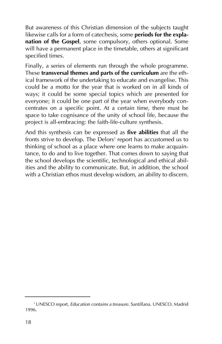But awareness of this Christian dimension of the subjects taught likewise calls for a form of catechesis, some **periods for the explanation of the Gospel**, some compulsory, others optional. Some will have a permanent place in the timetable, others at significant specified times.

Finally, a series of elements run through the whole programme. These **transversal themes and parts of the curriculum** are the ethical framework of the undertaking to educate and evangelise. This could be a motto for the year that is worked on in all kinds of ways; it could be some special topics which are presented for everyone; it could be one part of the year when everybody concentrates on a specific point. At a certain time, there must be space to take cognisance of the unity of school life, because the project is all-embracing: the faith-life-culture synthesis.

And this synthesis can be expressed as **five abilities** that all the fronts strive to develop. The Delors<sup>3</sup> report has accustomed us to thinking of school as a place where one learns to make acquaintance, to do and to live together. That comes down to saying that the school develops the scientific, technological and ethical abilities and the ability to communicate. But, in addition, the school with a Christian ethos must develop wisdom, an ability to discern.

<sup>3</sup> UNESCO report, *Education contains a treasure*. Santillana. UNESCO. Madrid 1996.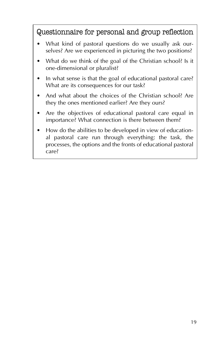Questionnaire for personal and group reflection

- What kind of pastoral questions do we usually ask ourselves? Are we experienced in picturing the two positions?
- What do we think of the goal of the Christian school? Is it one-dimensional or pluralist?
- In what sense is that the goal of educational pastoral care? What are its consequences for our task?
- And what about the choices of the Christian school? Are they the ones mentioned earlier? Are they ours?
- Are the objectives of educational pastoral care equal in importance? What connection is there between them?
- How do the abilities to be developed in view of educational pastoral care run through everything: the task, the processes, the options and the fronts of educational pastoral care?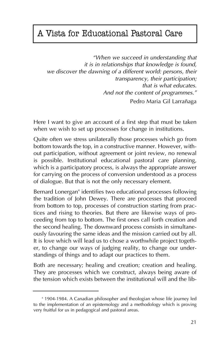## A Vista for Educational Pastoral Care

*"When we succeed in understanding that it is in relationships that knowledge is found, we discover the dawning of a different world: persons, their transparency, their participation; that is what educates. And not the content of programmes."* Pedro Maria Gil Larrañaga

Here I want to give an account of a first step that must be taken when we wish to set up processes for change in institutions.

Quite often we stress unilaterally those processes which go from bottom towards the top, in a constructive manner. However, without participation, without agreement or joint review, no renewal is possible. Institutional educational pastoral care planning, which is a participatory process, is always the appropriate answer for carrying on the process of conversion understood as a process of dialogue. But that is not the only necessary element.

Bernard Lonergan<sup>4</sup> identifies two educational processes following the tradition of John Dewey. There are processes that proceed from bottom to top, processes of construction starting from practices and rising to theories. But there are likewise ways of proceeding from top to bottom. The first ones call forth creation and the second healing. The downward process consists in simultaneously favouring the same ideas and the mission carried out by all. It is love which will lead us to chose a worthwhile project together, to change our ways of judging reality, to change our understandings of things and to adapt our practices to them.

Both are necessary; healing and creation; creation and healing. They are processes which we construct, always being aware of the tension which exists between the institutional will and the lib-

<sup>4</sup> 1904-1984. A Canadian philosopher and theologian whose life journey led to the implementation of an epistemology and a methodology which is proving very fruitful for us in pedagogical and pastoral areas.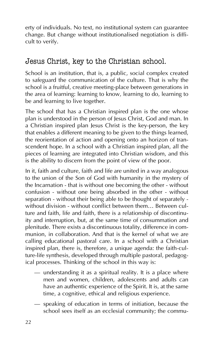erty of individuals. No text, no institutional system can guarantee change. But change without institutionalised negotiation is difficult to verify.

#### Jesus Christ, key to the Christian school.

School is an institution, that is, a public, social complex created to safeguard the communication of the culture. That is why the school is a fruitful, creative meeting-place between generations in the area of learning: learning to know, learning to do, learning to be and learning to live together.

The school that has a Christian inspired plan is the one whose plan is understood in the person of Jesus Christ, God and man. In a Christian inspired plan Jesus Christ is the key-person, the key that enables a different meaning to be given to the things learned, the reorientation of action and opening onto an horizon of transcendent hope. In a school with a Christian inspired plan, all the pieces of learning are integrated into Christian wisdom, and this is the ability to discern from the point of view of the poor.

In it, faith and culture, faith and life are united in a way analogous to the union of the Son of God with humanity in the mystery of the Incarnation - that is without one becoming the other - without confusion - without one being absorbed in the other - without separation - without their being able to be thought of separately without division - without conflict between them… Between culture and faith, life and faith, there is a relationship of discontinuity and interruption, but, at the same time of consummation and plenitude. There exists a discontinuous totality, difference in communion, in collaboration. And that is the kernel of what we are calling educational pastoral care. In a school with a Christian inspired plan, there is, therefore, a unique agenda: the faith-culture-life synthesis, developed through multiple pastoral, pedagogical processes. Thinking of the school in this way is:

- understanding it as a spiritual reality. It is a place where men and women, children, adolescents and adults can have an authentic experience of the Spirit. It is, at the same time, a cognitive, ethical and religious experience.
- speaking of education in terms of initiation, because the school sees itself as an ecclesial community; the commu-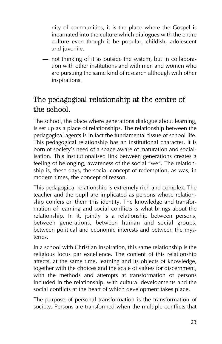nity of communities, it is the place where the Gospel is incarnated into the culture which dialogues with the entire culture even though it be popular, childish, adolescent and juvenile.

– not thinking of it as outside the system, but in collaboration with other institutions and with men and women who are pursuing the same kind of research although with other inspirations.

### The pedagogical relationship at the centre of the school.

The school, the place where generations dialogue about learning, is set up as a place of relationships. The relationship between the pedagogical agents is in fact the fundamental tissue of school life. This pedagogical relationship has an institutional character. It is born of society's need of a space aware of maturation and socialisation. This institutionalised link between generations creates a feeling of belonging, awareness of the social "we". The relationship is, these days, the social concept of redemption, as was, in modern times, the concept of reason.

This pedagogical relationship is extremely rich and complex. The teacher and the pupil are implicated as persons whose relationship confers on them this identity. The knowledge and transformation of learning and social conflicts is what brings about the relationship. In it, jointly is a relationship between persons, between generations, between human and social groups, between political and economic interests and between the mysteries.

In a school with Christian inspiration, this same relationship is the religious locus par excellence. The content of this relationship affects, at the same time, learning and its objects of knowledge, together with the choices and the scale of values for discernment, with the methods and attempts at transformation of persons included in the relationship, with cultural developments and the social conflicts at the heart of which development takes place.

The purpose of personal transformation is the transformation of society. Persons are transformed when the multiple conflicts that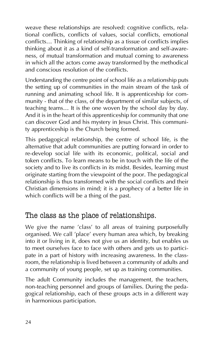weave these relationships are resolved: cognitive conflicts, relational conflicts, conflicts of values, social conflicts, emotional conflicts… Thinking of relationship as a tissue of conflicts implies thinking about it as a kind of self-transformation and self-awareness, of mutual transformation and mutual coming to awareness in which all the actors come away transformed by the methodical and conscious resolution of the conflicts.

Understanding the centre point of school life as a relationship puts the setting up of communities in the main stream of the task of running and animating school life. It is apprenticeship for community - that of the class, of the department of similar subjects, of teaching teams… It is the one woven by the school day by day. And it is in the heart of this apprenticeship for community that one can discover God and his mystery in Jesus Christ. This community apprenticeship is the Church being formed.

This pedagogical relationship, the centre of school life, is the alternative that adult communities are putting forward in order to re-develop social life with its economic, political, social and token conflicts. To learn means to be in touch with the life of the society and to live its conflicts in its midst. Besides, learning must originate starting from the viewpoint of the poor. The pedagogical relationship is thus transformed with the social conflicts and their Christian dimensions in mind; it is a prophecy of a better life in which conflicts will be a thing of the past.

#### The class as the place of relationships.

We give the name 'class' to all areas of training purposefully organised. We call 'place' every human area which, by breaking into it or living in it, does not give us an identity, but enables us to meet ourselves face to face with others and gets us to participate in a part of history with increasing awareness. In the classroom, the relationship is lived between a community of adults and a community of young people, set up as training communities.

The adult Community includes the management, the teachers, non-teaching personnel and groups of families. During the pedagogical relationship, each of these groups acts in a different way in harmonious participation.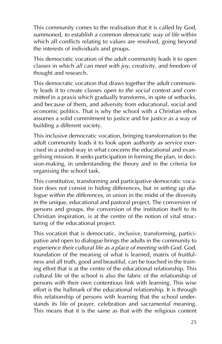This community comes to the realisation that it is called by God, summoned, *to establish a common democratic way of life* within which all conflicts relating to values are resolved, going beyond the interests of individuals and groups.

This democratic vocation of the adult community leads it to open classes in which *all can meet with joy*, creativity, and freedom of thought and research.

This democratic vocation that draws together the adult community leads it to create classes *open to the social context and committed* in a praxis which gradually transforms, in spite of setbacks, and because of them, and adversity from educational, social and economic politics. That is why the school with a Christian ethos assumes a solid commitment to justice and for justice as a way of building a different society.

This inclusive democratic vocation, bringing transformation to the adult community leads it to look upon *authority as service* exercised in a united way in what concerns the educational and evangelising mission. It seeks participation in forming the plan, in decision-making, in understanding the theory and in the criteria for organising the school task.

This constitutive, transforming and participative democratic vocation does not consist in hiding differences, but *in setting up dialogue within the differences*, in union in the midst of the diversity in the unique, educational and pastoral project. The conversion of persons and groups, the conversion of the institution itself to its Christian inspiration, is at the centre of the notion of vital structuring of the educational project.

This vocation that is democratic, inclusive, transforming, participative and open to dialogue brings the adults in the community to experience *their cultural life as a place of meeting with God.* God, foundation of the meaning of what is learned, matrix of fruitfulness and all truth, good and beautiful, can be touched in the training effort that is at the centre of the educational relationship. This cultural life of the school is also the fabric of the relationship of persons with their own contentious link with learning. This wise effort is the hallmark of the educational relationship. It is through this relationship of persons with learning that the school understands its life of prayer, celebration and sacramental meaning. This means that it is the same as that with the religious content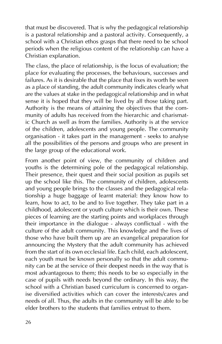that must be discovered. That is why the pedagogical relationship is a pastoral relationship and a pastoral activity. Consequently, a school with a Christian ethos grasps that there need to be school periods when the religious content of the relationship can have a Christian explanation.

The class, the place of relationship, is the locus of evaluation; the place for evaluating the processes, the behaviours, successes and failures. As it is desirable that the place that fixes its worth be seen as a place of standing, the adult community indicates clearly what are the values at stake in the pedagogical relationship and in what sense it is hoped that they will be lived by all those taking part. Authority is the means of attaining the objectives that the community of adults has received from the hierarchic and charismatic Church as well as from the families. Authority is at the service of the children, adolescents and young people. The community organisation - it takes part in the management - seeks to analyse all the possibilities of the persons and groups who are present in the large group of the educational work.

From another point of view, the community of children and youths is the determining pole of the pedagogical relationship. Their presence, their quest and their social position as pupils set up the school like this. The community of children, adolescents and young people brings to the classes and the pedagogical relationship a huge baggage of learnt material: they know how to learn, how to act, to be and to live together. They take part in a childhood, adolescent or youth culture which is their own. These pieces of learning are the starting points and workplaces through their importance in the dialogue - always conflictual - with the culture of the adult community. This knowledge and the lives of those who have built them up are an evangelical preparation for announcing the Mystery that the adult community has achieved from the start of its own ecclesial life. Each child, each adolescent, each youth must be known personally so that the adult community can be at the service of their deepest needs in the way that is most advantageous to them; this needs to be so especially in the case of pupils with needs beyond the ordinary. In this way, the school with a Christian based curriculum is concerned to organise diversified activities which can cover the interests/cares and needs of all. Thus, the adults in the community will be able to be elder brothers to the students that families entrust to them.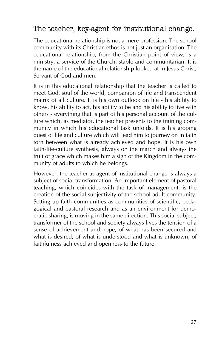#### The teacher, key-agent for institutional change.

The educational relationship is not a mere profession. The school community with its Christian ethos is not just an organisation. The educational relationship, from the Christian point of view, is a ministry, a service of the Church, stable and communitarian. It is the name of the educational relationship looked at in Jesus Christ, Servant of God and men.

It is in this educational relationship that the teacher is called to meet God, soul of the world, companion of life and transcendent matrix of all culture. It is his own outlook on life - his ability to know, his ability to act, his ability to be and his ability to live with others - everything that is part of his personal account of the culture which, as mediator, the teacher presents to the training community in which his educational task unfolds. It is his groping quest of life and culture which will lead him to journey on in faith torn between what is already achieved and hope. It is his own faith-life-culture synthesis, always on the march and always the fruit of grace which makes him a sign of the Kingdom in the community of adults to which he belongs.

However, the teacher as agent of institutional change is always a subject of social transformation. An important element of pastoral teaching, which coincides with the task of management, is the creation of the social subjectivity of the school adult community. Setting up faith communities as communities of scientific, pedagogical and pastoral research and as an environment for democratic sharing, is moving in the same direction. This social subject, transformer of the school and society always lives the tension of a sense of achievement and hope, of what has been secured and what is desired, of what is understood and what is unknown, of faithfulness achieved and openness to the future.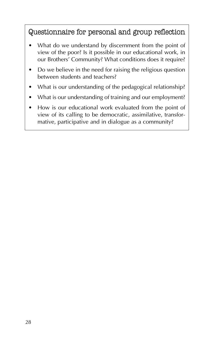Questionnaire for personal and group reflection

- What do we understand by discernment from the point of view of the poor? Is it possible in our educational work, in our Brothers' Community? What conditions does it require?
- Do we believe in the need for raising the religious question between students and teachers?
- What is our understanding of the pedagogical relationship?
- What is our understanding of training and our employment?
- How is our educational work evaluated from the point of view of its calling to be democratic, assimilative, transformative, participative and in dialogue as a community?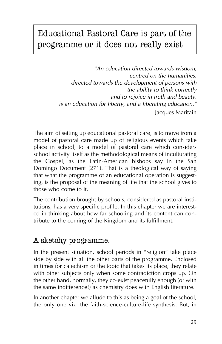# Educational Pastoral Care is part of the programme or it does not really exist

*"An education directed towards wisdom, centred on the humanities, directed towards the development of persons with the ability to think correctly and to rejoice in truth and beauty, is an education for liberty, and a liberating education."* Jacques Maritain

The aim of setting up educational pastoral care, is to move from a model of pastoral care made up of religious events which take place in school, to a model of pastoral care which considers school activity itself as the methodological means of inculturating the Gospel, as the Latin-American bishops say in the San Domingo Document (271). That is a theological way of saying that what the programme of an educational operation is suggesting, is the proposal of the meaning of life that the school gives to those who come to it.

The contribution brought by schools, considered as pastoral institutions, has a very specific profile. In this chapter we are interested in thinking about how far schooling and its content can contribute to the coming of the Kingdom and its fulfillment.

#### A sketchy programme.

In the present situation, school periods in "religion" take place side by side with all the other parts of the programme. Enclosed in times for catechism or the topic that takes its place, they relate with other subjects only when some contradiction crops up. On the other hand, normally, they co-exist peacefully enough (or with the same indifference!) as chemistry does with English literature.

In another chapter we allude to this as being a goal of the school, the only one viz. the faith-science-culture-life synthesis. But, in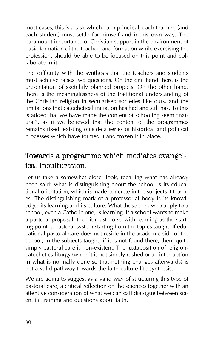most cases, this is a task which each principal, each teacher, (and each student) must settle for himself and in his own way. The paramount importance of Christian support in the environment of basic formation of the teacher, and formation while exercising the profession, should be able to be focused on this point and collaborate in it.

The difficulty with the synthesis that the teachers and students must achieve raises two questions. On the one hand there is the presentation of sketchily planned projects. On the other hand, there is the meaninglessness of the traditional understanding of the Christian religion in secularised societies like ours, and the limitations that catechetical initiation has had and still has. To this is added that we have made the content of schooling seem "natural", as if we believed that the content of the programmes remains fixed, existing outside a series of historical and political processes which have formed it and frozen it in place.

#### Towards a programme which mediates evangelical inculturation.

Let us take a somewhat closer look, recalling what has already been said: what is distinguishing about the school is its educational orientation, which is made concrete in the subjects it teaches. The distinguishing mark of a professorial body is its knowledge, its learning and its culture. What those seek who apply to a school, even a Catholic one, is learning. If a school wants to make a pastoral proposal, then it must do so with learning as the starting point, a pastoral system starting from the topics taught. If educational pastoral care does not reside in the academic side of the school, in the subjects taught, if it is not found there, then, quite simply pastoral care is non-existent. The juxtaposition of religioncatechetics-liturgy (when it is not simply rushed or an interruption in what is normally done so that nothing changes afterwards) is not a valid pathway towards the faith-culture-life synthesis.

We are going to suggest as a valid way of structuring this type of pastoral care, a critical reflection on the sciences together with an attentive consideration of what we can call dialogue between scientific training and questions about faith.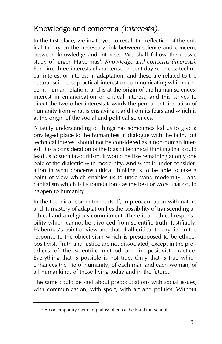### Knowledge and concerns (interests).

In the first place, we invite you to recall the reflection of the critical theory on the necessary link between science and concern, between knowledge and interests. We shall follow the classic study of Jurgen Habermas5 : *Knowledge and concerns (interests)*. For him, three interests characterise present day sciences: technical interest or interest in adaptation, and these are related to the natural sciences; practical interest or communicating which concerns human relations and is at the origin of the human sciences; interest in emancipation or critical interest, and this strives to direct the two other interests towards the permanent liberation of humanity from what is enslaving it and from its fears and which is at the origin of the social and political sciences.

A faulty understanding of things has sometimes led us to give a privileged place to the humanities in dialogue with the faith. But technical interest should not be considered as a non-human interest. It is a consideration of the bias of technical thinking that could lead us to such favouritism. It would be like remaining at only one pole of the dialectic with modernity. And what is under consideration in what concerns critical thinking is to be able to take a point of view which enables us to understand modernity - and capitalism which is its foundation - as the best or worst that could happen to humanity.

In the technical commitment itself, in preoccupation with nature and its mastery of adaptation lies the possibility of transcending an ethical and a religious commitment. There is an ethical responsibility which cannot be divorced from scientific truth. Justifiably, Habermas's point of view and that of all critical theory lies in the response to the objectivism which is presupposed to be ethicopositivist. Truth and justice are not dissociated, except in the prejudices of the scientific method and in positivist practice. Everything that is possible is not true. Only that is true which enhances the life of humanity, of each man and each woman, of all humankind, of those living today and in the future.

The same could be said about preoccupations with social issues, with communication, with sport, with art and politics. Without

<sup>&</sup>lt;sup>5</sup> A contemporary German philosopher, of the Frankfurt school.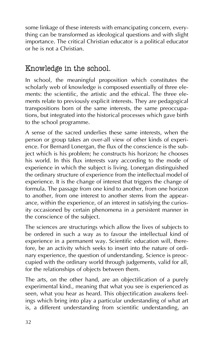some linkage of these interests with emancipating concern, everything can be transformed as ideological questions and with slight importance. The critical Christian educator is a political educator or he is not a Christian.

#### Knowledge in the school.

In school, the meaningful proposition which constitutes the scholarly web of knowledge is composed essentially of three elements: the scientific, the artistic and the ethical. The three elements relate to previously explicit interests. They are pedagogical transpositions born of the same interests, the same preoccupations, but integrated into the historical processes which gave birth to the school programme.

A sense of the sacred underlies these same interests, when the person or group takes an over-all view of other kinds of experience. For Bernard Lonergan, the flux of the conscience is the subject which is his problem; he constructs his horizon; he chooses his world. In this flux interests vary according to the mode of experience in which the subject is living. Lonergan distinguished the ordinary structure of experience from the intellectual model of experience. It is the change of interest that triggers the change of formula. The passage from one kind to another, from one horizon to another, from one interest to another stems from the appearance, within the experience, of an interest in satisfying the curiosity occasioned by certain phenomena in a persistent manner in the conscience of the subject.

The sciences are structurings which allow the lives of subjects to be ordered in such a way as to favour the intellectual kind of experience in a permanent way. Scientific education will, therefore, be an activity which seeks to insert into the nature of ordinary experience, the question of understanding. Science is preoccupied with the ordinary world through judgements, valid for all, for the relationships of objects between them.

The arts, on the other hand, are an objectification of a purely experimental kind., meaning that what you see is experienced as seen, what you hear as heard. This objectification awakens feelings which bring into play a particular understanding of what art is, a different understanding from scientific understanding, an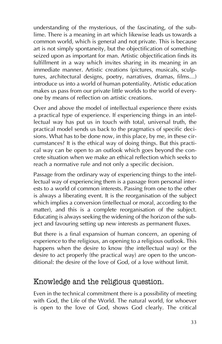understanding of the mysterious, of the fascinating, of the sublime. There is a meaning in art which likewise leads us towards a common world, which is general and not private. This is because art is not simply spontaneity, but the objectification of something seized upon as important for man. Artistic objectification finds its fulfillment in a way which invites sharing in its meaning in an immediate manner. Artistic creations (pictures, musicals, sculptures, architectural designs, poetry, narratives, dramas, films…) introduce us into a world of human potentiality. Artistic education makes us pass from our private little worlds to the world of everyone by means of reflection on artistic creations.

Over and above the model of intellectual experience there exists a practical type of experience. If experiencing things in an intellectual way has put us in touch with total, universal truth, the practical model sends us back to the pragmatics of specific decisions. What has to be done now, in this place, by me, in these circumstances? It is the ethical way of doing things. But this practical way can be open to an outlook which goes beyond the concrete situation when we make an ethical reflection which seeks to reach a normative rule and not only a specific decision.

Passage from the ordinary way of experiencing things to the intellectual way of experiencing them is a passage from personal interests to a world of common interests. Passing from one to the other is always a liberating event. It is the reorganisation of the subject which implies a conversion (intellectual or moral, according to the matter), and this is a complete reorganisation of the subject. Educating is always seeking the widening of the horizon of the subject and favouring setting up new interests as permanent fluxes.

But there is a final expansion of human concern, an opening of experience to the religious, an opening to a religious outlook. This happens when the desire to know (the intellectual way) or the desire to act properly (the practical way) are open to the unconditional: the desire of the love of God, of a love without limit.

#### Knowledge and the religious question.

Even in the technical commitment there is a possibility of meeting with God, the Life of the World. The natural world, for whoever is open to the love of God, shows God clearly. The critical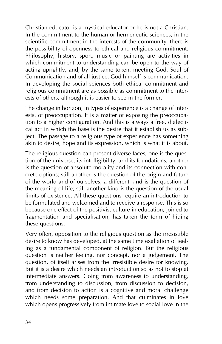Christian educator is a mystical educator or he is not a Christian. In the commitment to the human or hermeneutic sciences, in the scientific commitment in the interests of the community, there is the possibility of openness to ethical and religious commitment. Philosophy, history, sport, music or painting are activities in which commitment to understanding can be open to the way of acting uprightly, and, by the same token, meeting God, Soul of Communication and of all justice. God himself is communication. In developing the social sciences both ethical commitment and religious commitment are as possible as commitment to the interests of others, although it is easier to see in the former.

The change in horizon, in types of experience is a change of interests, of preoccupation. It is a matter of exposing the preoccupation to a higher configuration. And this is always a free, dialectical act in which the base is the desire that it establish us as subject. The passage to a religious type of experience has something akin to desire, hope and its expression, which is what it is about.

The religious question can present diverse faces; one is the question of the universe, its intelligibility, and its foundations; another is the question of absolute morality and its connection with concrete options; still another is the question of the origin and future of the world and of ourselves; a different kind is the question of the meaning of life; still another kind is the question of the usual limits of existence. All these questions require an introduction to be formulated and welcomed and to receive a response. This is so because one effect of the positivist culture in education, joined to fragmentation and specialisation, has taken the form of hiding these questions.

Very often, opposition to the religious question as the irresistible desire to know has developed, at the same time exaltation of feeling as a fundamental component of religion. But the religious question is neither feeling, nor concept, nor a judgement. The question, of itself arises from the irresistible desire for knowing. But it is a desire which needs an introduction so as not to stop at intermediate answers. Going from awareness to understanding, from understanding to discussion, from discussion to decision, and from decision to action is a cognitive and moral challenge which needs some preparation. And that culminates in love which opens progressively from intimate love to social love in the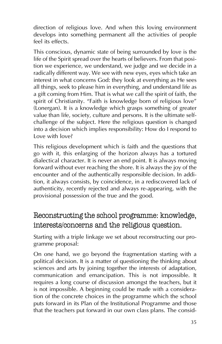direction of religious love. And when this loving environment develops into something permanent all the activities of people feel its effects.

This conscious, dynamic state of being surrounded by love is the life of the Spirit spread over the hearts of believers. From that position we experience, we understand, we judge and we decide in a radically different way. We see with new eyes, eyes which take an interest in what concerns God: they look at everything as He sees all things, seek to please him in everything, and understand life as a gift coming from Him. That is what we call the spirit of faith, the spirit of Christianity. "Faith is knowledge born of religious love" (Lonergan). It is a knowledge which grasps something of greater value than life, society, culture and persons. It is the ultimate selfchallenge of the subject. Here the religious question is changed into a decision which implies responsibility: How do I respond to Love with love?

This religious development which is faith and the questions that go with it, this enlarging of the horizon always has a tortured dialectical character. It is never an end point. It is always moving forward without ever reaching the shore. It is always the joy of the encounter and of the authentically responsible decision. In addition, it always consists, by coincidence, in a rediscovered lack of authenticity, recently rejected and always re-appearing, with the provisional possession of the true and the good.

### Reconstructing the school programme: knowledge, interests/concerns and the religious question.

Starting with a triple linkage we set about reconstructing our programme proposal:

On one hand, we go beyond the fragmentation starting with a political decision. It is a matter of questioning the thinking about sciences and arts by joining together the interests of adaptation, communication and emancipation. This is not impossible. It requires a long course of discussion amongst the teachers, but it is not impossible. A beginning could be made with a consideration of the concrete choices in the programme which the school puts forward in its Plan of the Institutional Programme and those that the teachers put forward in our own class plans. The consid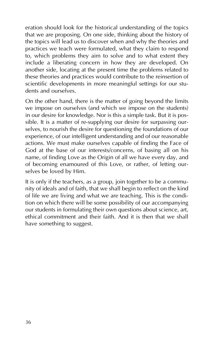eration should look for the historical understanding of the topics that we are proposing. On one side, thinking about the history of the topics will lead us to discover when and why the theories and practices we teach were formulated, what they claim to respond to, which problems they aim to solve and to what extent they include a liberating concern in how they are developed. On another side, locating at the present time the problems related to these theories and practices would contribute to the reinsertion of scientific developments in more meaningful settings for our students and ourselves.

On the other hand, there is the matter of going beyond the limits we impose on ourselves (and which we impose on the students) in our desire for knowledge. Nor is this a simple task. But it is possible. It is a matter of re-supplying our desire for surpassing ourselves, to nourish the desire for questioning the foundations of our experience, of our intelligent understanding and of our reasonable actions. We must make ourselves capable of finding the Face of God at the base of our interests/concerns, of basing all on his name, of finding Love as the Origin of all we have every day, and of becoming enamoured of this Love, or rather, of letting ourselves be loved by Him.

It is only if the teachers, as a group, join together to be a community of ideals and of faith, that we shall begin to reflect on the kind of life we are living and what we are teaching. This is the condition on which there will be some possibility of our accompanying our students in formulating their own questions about science, art, ethical commitment and their faith. And it is then that we shall have something to suggest.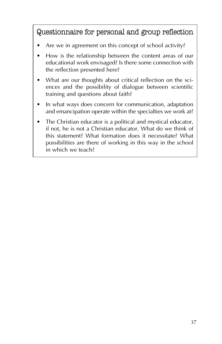### Questionnaire for personal and group reflection

- Are we in agreement on this concept of school activity?
- How is the relationship between the content areas of our educational work envisaged? Is there some connection with the reflection presented here?
- What are our thoughts about critical reflection on the sciences and the possibility of dialogue between scientific training and questions about faith?
- In what ways does concern for communication, adaptation and emancipation operate within the specialties we work at?
- The Christian educator is a political and mystical educator, if not, he is not a Christian educator. What do we think of this statement? What formation does it necessitate? What possibilities are there of working in this way in the school in which we teach?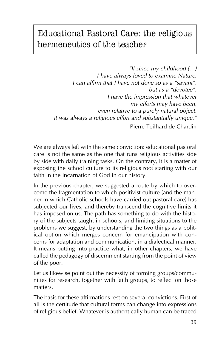# Educational Pastoral Care: the religious hermeneutics of the teacher

*"If since my childhood (…) I have always loved to examine Nature, I can affirm that I have not done so as a "savant", but as a "devotee". I have the impression that whatever my efforts may have been, even relative to a purely natural object, it was always a religious effort and substantially unique."* Pierre Teilhard de Chardin

We are always left with the same conviction: educational pastoral care is not the same as the one that runs religious activities side by side with daily training tasks. On the contrary, it is a matter of exposing the school culture to its religious root starting with our faith in the Incarnation of God in our history.

In the previous chapter, we suggested a route by which to overcome the fragmentation to which positivist culture (and the manner in which Catholic schools have carried out pastoral care) has subjected our lives, and thereby transcend the cognitive limits it has imposed on us. The path has something to do with the history of the subjects taught in schools, and limiting situations to the problems we suggest, by understanding the two things as a political option which merges concern for emancipation with concerns for adaptation and communication, in a dialectical manner. It means putting into practice what, in other chapters, we have called the pedagogy of discernment starting from the point of view of the poor.

Let us likewise point out the necessity of forming groups/communities for research, together with faith groups, to reflect on those matters.

The basis for these affirmations rest on several convictions. First of all is the certitude that cultural forms can change into expressions of religious belief. Whatever is authentically human can be traced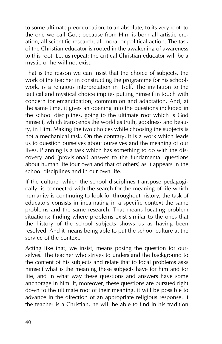to some ultimate preoccupation, to an absolute, to its very root, to the one we call God; because from Him is born all artistic creation, all scientific research, all moral or political action. The task of the Christian educator is rooted in the awakening of awareness to this root. Let us repeat: the critical Christian educator will be a mystic or he will not exist.

That is the reason we can insist that the choice of subjects, the work of the teacher in constructing the programme for his schoolwork, is a religious interpretation in itself. The invitation to the tactical and mystical choice implies putting himself in touch with concern for emancipation, communion and adaptation. And, at the same time, it gives an opening into the questions included in the school disciplines, going to the ultimate root which is God himself, which transcends the world as truth, goodness and beauty, in Him. Making the two choices while choosing the subjects is not a mechanical task. On the contrary, it is a work which leads us to question ourselves about ourselves and the meaning of our lives. Planning is a task which has something to do with the discovery and (provisional) answer to the fundamental questions about human life (our own and that of others) as it appears in the school disciplines and in our own life.

If the culture, which the school disciplines transpose pedagogically, is connected with the search for the meaning of life which humanity is continuing to look for throughout history, the task of educators consists in incarnating in a specific context the same problems and the same research. That means locating problem situations: finding where problems exist similar to the ones that the history of the school subjects shows us as having been resolved. And it means being able to put the school culture at the service of the context.

Acting like that, we insist, means posing the question for ourselves. The teacher who strives to understand the background to the content of his subjects and relate that to local problems asks himself what is the meaning these subjects have for him and for life, and in what way these questions and answers have some anchorage in him. If, moreover, these questions are pursued right down to the ultimate root of their meaning, it will be possible to advance in the direction of an appropriate religious response. If the teacher is a Christian, he will be able to find in his tradition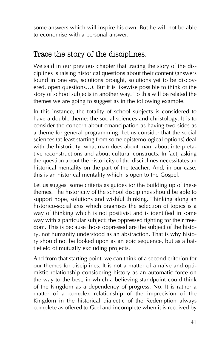some answers which will inspire his own. But he will not be able to economise with a personal answer.

#### Trace the story of the disciplines.

We said in our previous chapter that tracing the story of the disciplines is raising historical questions about their content (answers found in one era, solutions brought, solutions yet to be discovered, open questions…). But it is likewise possible to think of the story of school subjects in another way. To this will be related the themes we are going to suggest as in the following example.

In this instance, the totality of school subjects is considered to have a double theme: the social sciences and christology. It is to consider the concern about emancipation as having two sides as a theme for general programming. Let us consider that the social sciences (at least starting from some epistemological options) deal with the historicity: what man does about man, about interpretative reconstructions and about cultural constructs. In fact, asking the question about the historicity of the disciplines necessitates an historical mentality on the part of the teacher. And, in our case, this is an historical mentality which is open to the Gospel.

Let us suggest some criteria as guides for the building up of these themes. The historicity of the school disciplines should be able to support hope, solutions and wishful thinking. Thinking along an historico-social axis which organises the selection of topics is a way of thinking which is not positivist and is identified in some way with a particular subject: the oppressed fighting for their freedom. This is because those oppressed are the subject of the history, not humanity understood as an abstraction. That is why history should not be looked upon as an epic sequence, but as a battlefield of mutually excluding projects.

And from that starting point, we can think of a second criterion for our themes for disciplines. It is not a matter of a naïve and optimistic relationship considering history as an automatic force on the way to the best, in which a believing standpoint could think of the Kingdom as a dependency of progress. No. It is rather a matter of a complex relationship of the imprecision of the Kingdom in the historical dialectic of the Redemption always complete as offered to God and incomplete when it is received by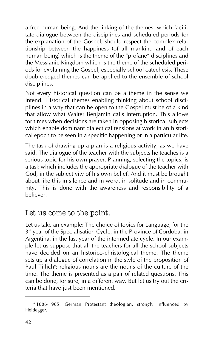a free human being. And the linking of the themes, which facilitate dialogue between the disciplines and scheduled periods for the explanation of the Gospel, should respect the complex relationship between the happiness (of all mankind and of each human being) which is the theme of the "profane" disciplines and the Messianic Kingdom which is the theme of the scheduled periods for explaining the Gospel, especially school catechesis. These double-edged themes can be applied to the ensemble of school disciplines.

Not every historical question can be a theme in the sense we intend. Historical themes enabling thinking about school disciplines in a way that can be open to the Gospel must be of a kind that allow what Walter Benjamin calls interruption. This allows for times when decisions are taken in opposing historical subjects which enable dominant dialectical tensions at work in an historical epoch to be seen in a specific happening or in a particular life.

The task of drawing up a plan is a religious activity, as we have said. The dialogue of the teacher with the subjects he teaches is a serious topic for his own prayer. Planning, selecting the topics, is a task which includes the appropriate dialogue of the teacher with God, in the subjectivity of his own belief. And it must be brought about like this in silence and in word, in solitude and in community. This is done with the awareness and responsibility of a believer.

#### Let us come to the point.

Let us take an example: The choice of topics for Language, for the 3<sup>rd</sup> year of the Specialisation Cycle, in the Province of Cordoba, in Argentina, in the last year of the intermediate cycle. In our example let us suppose that all the teachers for all the school subjects have decided on an historico-christological theme. The theme sets up a dialogue of correlation in the style of the proposition of Paul Tillich<sup>6</sup>: religious nouns are the nouns of the culture of the time. The theme is presented as a pair of related questions. This can be done, for sure, in a different way. But let us try out the criteria that have just been mentioned.

<sup>&</sup>lt;sup>6</sup> 1886-1965. German Protestant theologian, strongly influenced by Heidegger.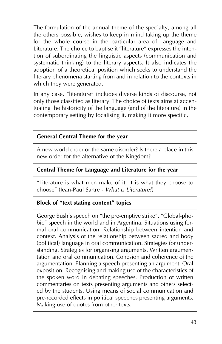The formulation of the annual theme of the specialty, among all the others possible, wishes to keep in mind taking up the theme for the whole course in the particular area of Language and Literature. The choice to baptise it "literature" expresses the intention of subordinating the linguistic aspects (communication and systematic thinking) to the literary aspects. It also indicates the adoption of a theoretical position which seeks to understand the literary phenomena starting from and in relation to the contexts in which they were generated.

In any case, "literature" includes diverse kinds of discourse, not only those classified as literary. The choice of texts aims at accentuating the historicity of the language (and of the literature) in the contemporary setting by localising it, making it more specific,

#### **General Central Theme for the year**

A new world order or the same disorder? Is there a place in this new order for the alternative of the Kingdom?

#### **Central Theme for Language and Literature for the year**

"Literature is what men make of it, it is what they choose to choose" (Jean-Paul Sartre - *What is Literature?*)

#### **Block of "text stating content" topics**

George Bush's speech on "the pre-emptive strike". "Global-phobic" speech in the world and in Argentina. Situations using formal oral communication. Relationship between intention and context. Analysis of the relationship between sacred and body (political) language in oral communication. Strategies for understanding. Strategies for organising arguments. Written argumentation and oral communication. Cohesion and coherence of the argumentation. Planning a speech presenting an argument. Oral exposition. Recognising and making use of the characteristics of the spoken word in debating speeches. Production of written commentaries on texts presenting arguments and others selected by the students. Using means of social communication and pre-recorded effects in political speeches presenting arguments. Making use of quotes from other texts.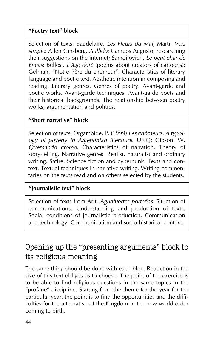#### **"Poetry text" block**

Selection of texts: Baudelaire, *Les Fleurs du Mal*; Marti, *Vers simple*: Allen Ginsberg, *Aullido*; Campos Augusto, researching their suggestions on the internet; Samoilovich, *Le petit char de Eneas*; Bellesi, *L'âge doré* (poems about creators of cartoons); Gelman, "Notre Père du chômeur". Characteristics of literary language and poetic text. Aesthetic intention in composing and reading. Literary genres. Genres of poetry. Avant-garde and poetic works. Avant-garde techniques. Avant-garde poets and their historical backgrounds. The relationship between poetry works, argumentation and politics.

#### **"Short narrative" block**

Selection of texts: Orgambide, P. (1999) *Les chômeurs. A typology of poverty in Argentinian literature*. UNQ; Gibson, W. *Quemando cromo*. Characteristics of narration. Theory of story-telling. Narrative genres. Realist, naturalist and ordinary writing. Satire. Science fiction and cyberpunk. Texts and context. Textual techniques in narrative writing. Writing commentaries on the texts read and on others selected by the students.

#### **"Journalistic text" block**

Selection of texts from Arlt, *Aguafuertes porteñas*. Situation of communications. Understanding and production of texts. Social conditions of journalistic production. Communication and technology. Communication and socio-historical context.

### Opening up the "presenting arguments" block to its religious meaning

The same thing should be done with each bloc. Reduction in the size of this text obliges us to choose. The point of the exercise is to be able to find religious questions in the same topics in the "profane" discipline. Starting from the theme for the year for the particular year, the point is to find the opportunities and the difficulties for the alternative of the Kingdom in the new world order coming to birth.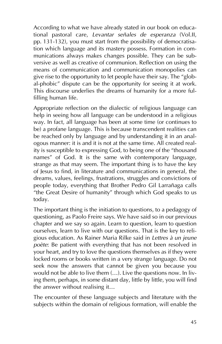According to what we have already stated in our book on educational pastoral care, *Levantar señales de esperanza* (Vol.II, pp. 131-132), you must start from the possibility of democratisation which language and its mastery possess. Formation in communications always makes changes possible. They can be subversive as well as creative of communion. Reflection on using the means of communication and communication monopolies can give rise to the opportunity to let people have their say. The "global-phobic" dispute can be the opportunity for seeing it at work. This discourse underlies the dreams of humanity for a more fulfilling human life.

Appropriate reflection on the dialectic of religious language can help in seeing how all language can be understood in a religious way. In fact, all language has been at some time (or continues to be) a profane language. This is because transcendent realities can be reached only by language and by understanding it in an analogous manner: it is and it is not at the same time. All created reality is susceptible to expressing God, to being one of the "thousand names" of God. It is the same with contemporary language, strange as that may seem. The important thing is to have the key of Jesus to find, in literature and communications in general, the dreams, values, feelings, frustrations, struggles and convictions of people today, everything that Brother Pedro Gil Larrañaga calls "the Great Desire of humanity" through which God speaks to us today.

The important thing is the initiation to questions, to a pedagogy of questioning, as Paolo Freire says. We have said so in our previous chapter and we say so again. Learn to question, learn to question ourselves, learn to live with our questions. That is the key to religious education. As Rainer Maria Rilke said in *Lettres à un jeune poète*: Be patient with everything that has not been resolved in your heart, and try to love the questions themselves as if they were locked rooms or books written in a very strange language. Do not seek now the answers that cannot be given you because you would not be able to live them (…). Live the questions now. In living them, perhaps, in some distant day, little by little, you will find the answer without realising it…

The encounter of these language subjects and literature with the subjects within the domain of religious formation, will enable the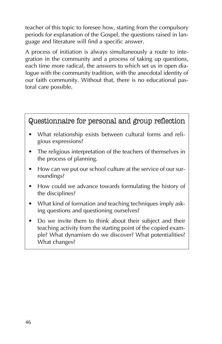teacher of this topic to foresee how, starting from the compulsory periods for explanation of the Gospel, the questions raised in language and literature will find a specific answer.

A process of initiation is always simultaneously a route to integration in the community and a process of taking up questions, each time more radical, the answers to which set us in open dialogue with the community tradition, with the anecdotal identity of our faith community. Without that, there is no educational pastoral care possible.

#### Questionnaire for personal and group reflection

- What relationship exists between cultural forms and religious expressions?
- The religious interpretation of the teachers of themselves in the process of planning.
- How can we put our school culture at the service of our surroundings?
- How could we advance towards formulating the history of the disciplines?
- What kind of formation and teaching techniques imply asking questions and questioning ourselves?
- Do we invite them to think about their subject and their teaching activity from the starting point of the copied example? What dynamism do we discover? What potentialities? What changes?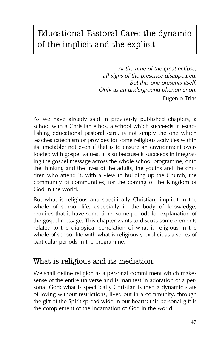# Educational Pastoral Care: the dynamic of the implicit and the explicit

*At the time of the great eclipse, all signs of the presence disappeared. But this one presents itself. Only as an underground phenomenon.* Eugenio Trias

As we have already said in previously published chapters, a school with a Christian ethos, a school which succeeds in establishing educational pastoral care, is not simply the one which teaches catechism or provides for some religious activities within its timetable; not even if that is to ensure an environment overloaded with gospel values. It is so because it succeeds in integrating the gospel message across the whole school programme, onto the thinking and the lives of the adults, the youths and the children who attend it, with a view to building up the Church, the community of communities, for the coming of the Kingdom of God in the world.

But what is religious and specifically Christian, implicit in the whole of school life, especially in the body of knowledge, requires that it have some time, some periods for explanation of the gospel message. This chapter wants to discuss some elements related to the dialogical correlation of what is religious in the whole of school life with what is religiously explicit as a series of particular periods in the programme.

#### What is religious and its mediation.

We shall define religion as a personal commitment which makes sense of the entire universe and is manifest in adoration of a personal God; what is specifically Christian is then a dynamic state of loving without restrictions, lived out in a community, through the gift of the Spirit spread wide in our hearts; this personal gift is the complement of the Incarnation of God in the world.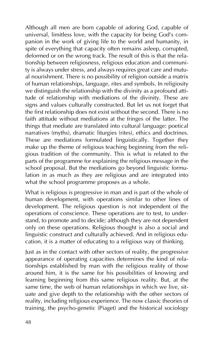Although all men are born capable of adoring God, capable of universal, limitless love, with the capacity for being God's companion in the work of giving life to the world and humanity, in spite of everything that capacity often remains asleep, corrupted, deformed or on the wrong track. The result of this is that the relationship between religiosness, religious education and community is always under stress, and always requires great care and mutual nourishment. There is no possibility of religion outside a matrix of human relationships, language, rites and symbols. In religiosity we distinguish the relationship with the divinity as a profound attitude of relationship with mediations of the divinity. These are signs and values culturally constructed. But let us not forget that the first relationship does not exist without the second. There is no faith attitude without mediations at the fringes of the latter. The things that mediate are translated into cultural language: poetical narratives (myths), dramatic liturgies (rites), ethics and doctrines. These are mediations formulated linguistically. Together they make up the theme of religious teaching beginning from the religious tradition of the community. This is what is related to the parts of the programme for explaining the religious message in the school proposal. But the mediations go beyond linguistic formulation in as much as they are religious and are integrated into what the school programme proposes as a whole.

What is religious is progressive in man and is part of the whole of human development, with operations similar to other lines of development. The religious question is not independent of the operations of conscience. These operations are to test, to understand, to promote and to decide; although they are not dependent only on these operations. Religious thought is also a social and linguistic construct and culturally achieved. And in religious education, it is a matter of educating to a religious way of thinking.

Just as in the contact with other sectors of reality, the progressive appearance of operating capacities determines the kind of relationships established by man with the religious reality of those around him, it is the same for his possibilities of knowing and learning beginning from this same religious reality. But, at the same time, the web of human relationships in which we live, situate and give depth to the relationship with the other sectors of reality, including religious experience. The now classic theories of training, the psycho-genetic (Piaget) and the historical sociology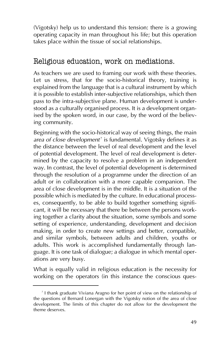(Vigotsky) help us to understand this tension: there is a growing operating capacity in man throughout his life; but this operation takes place within the tissue of social relationships.

#### Religious education, work on mediations.

As teachers we are used to framing our work with these theories. Let us stress, that for the socio-historical theory, training is explained from the language that is a cultural instrument by which it is possible to establish inter-subjective relationships, which then pass to the intra-subjective plane. Human development is understood as a culturally organised process. It is a development organised by the spoken word, in our case, by the word of the believing community.

Beginning with the socio-historical way of seeing things, the main area of close development<sup>7</sup> is fundamental. Vigotsky defines it as the distance between the level of real development and the level of potential development. The level of real development is determined by the capacity to resolve a problem in an independent way. In contrast, the level of potential development is determined through the resolution of a programme under the direction of an adult or in collaboration with a more capable companion. The area of close development is in the middle. It is a situation of the possible which is mediated by the culture. In educational processes, consequently, to be able to build together something significant, it will be necessary that there be between the persons working together a clarity about the situation, some symbols and some setting of experience, understanding, development and decision making, in order to create new settings and better, compatible, and similar symbols, between adults and children, youths or adults. This work is accomplished fundamentally through language. It is one task of dialogue; a dialogue in which mental operations are very busy.

What is equally valid in religious education is the necessity for working on the operators (in this instance the conscious ques-

<sup>7</sup> I thank graduate Viviana Aragno for her point of view on the relationship of the questions of Bernard Lonergan with the Vigotsky notion of the area of close development. The limits of this chapter do not allow for the development the theme deserves.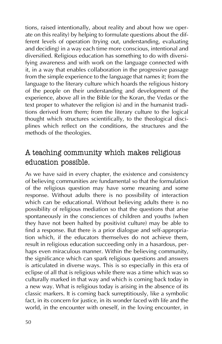tions, raised intentionally, about reality and about how we operate on this reality) by helping to formulate questions about the different levels of operation (trying out, understanding, evaluating and deciding) in a way each time more conscious, intentional and diversified. Religious education has something to do with diversifying awareness and with work on the language connected with it, in a way that enables collaboration in the progressive passage from the simple experience to the language that names it; from the language to the literary culture which hoards the religious history of the people on their understanding and development of the experience, above all in the Bible (or the Koran, the Vedas or the text proper to whatever the religion is) and in the humanist traditions derived from them; from the literary culture to the logical thought which structures scientifically, to the theological disciplines which reflect on the conditions, the structures and the methods of the theologies.

### A teaching community which makes religious education possible.

As we have said in every chapter, the existence and consistency of believing communities are fundamental so that the formulation of the religious question may have some meaning and some response. Without adults there is no possibility of interaction which can be educational. Without believing adults there is no possibility of religious mediation so that the questions that arise spontaneously in the consciences of children and youths (when they have not been halted by positivist culture) may be able to find a response. But there is a prior dialogue and self-appropriation which, if the educators themselves do not achieve them, result in religious education succeeding only in a hasardous, perhaps even miraculous manner. Within the believing community, the significance which can spark religious questions and answers is articulated in diverse ways. This is so especially in this era of eclipse of all that is religious while there was a time which was so culturally marked in that way and which is coming back today in a new way. What is religious today is arising in the absence of its classic markers. It is coming back surreptitiously, like a symbolic fact, in its concern for justice, in its wonder faced with life and the world, in the encounter with oneself, in the loving encounter, in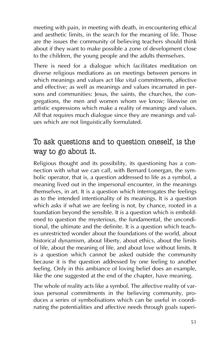meeting with pain, in meeting with death, in encountering ethical and aesthetic limits, in the search for the meaning of life. Those are the issues the community of believing teachers should think about if they want to make possible a zone of development close to the children, the young people and the adults themselves.

There is need for a dialogue which facilitates meditation on diverse religious mediations as on meetings between persons in which meanings and values act like vital commitments, affective and effective; as well as meanings and values incarnated in persons and communities: Jesus, the saints, the churches, the congregations, the men and women whom we know; likewise on artistic expressions which make a reality of meanings and values. All that requires much dialogue since they are meanings and values which are not linguistically formulated.

### To ask questions and to question oneself, is the way to go about it.

Religious thought and its possibility, its questioning has a connection with what we can call, with Bernard Lonergan, the symbolic operator, that is, a question addressed to life as a symbol, a meaning lived out in the impersonal encounter, in the meanings themselves, in art. It is a question which interrogates the feelings as to the intended intentionality of its meanings. It is a question which asks if what we are feeling is not, by chance, rooted in a foundation beyond the sensible. It is a question which is emboldened to question the mysterious, the fundamental, the unconditional, the ultimate and the definite. It is a question which teaches unrestricted wonder about the foundations of the world, about historical dynamism, about liberty, about ethics, about the limits of life, about the meaning of life, and about love without limits. It is a question which cannot be asked outside the community because it is the question addressed by one feeling to another feeling. Only in this ambiance of loving belief does an example, like the one suggested at the end of the chapter, have meaning.

The whole of reality acts like a symbol. The affective reality of various personal commitments in the believing community, produces a series of symbolisations which can be useful in coordinating the potentialities and affective needs through goals superi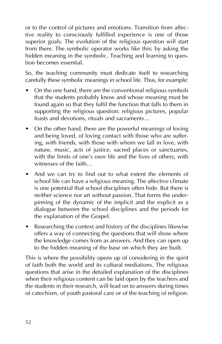or to the control of pictures and emotions. Transition from affective reality to consciously fulfilled experience is one of those superior goals. The evolution of the religious question will start from there. The symbolic operator works like this: by asking the hidden meaning in the symbolic. Teaching and learning to question becomes essential.

So, the teaching community must dedicate itself to researching carefully these symbolic meanings in school life. Thus, for example:

- On the one hand, there are the conventional religious symbols that the students probably know and whose meaning must be found again so that they fulfil the function that falls to them in supporting the religious question: religious pictures, popular feasts and devotions, rituals and sacraments…
- On the other hand, there are the powerful meanings of loving and being loved, of loving contact with those who are suffering, with friends, with those with whom we fall in love, with nature, music, acts of justice, sacred places or sanctuaries, with the limits of one's own life and the lives of others, with witnesses of the faith…
- And we can try to find out to what extent the elements of school life can have a religious meaning. The affective climate is one potential that school disciplines often hide. But there is neither science nor art without passion. That forms the underpinning of the dynamic of the implicit and the explicit as a dialogue between the school disciplines and the periods for the explanation of the Gospel.
- Researching the context and history of the disciplines likewise offers a way of connecting the questions that will show where the knowledge comes from as answers. And they can open up to the hidden meaning of the base on which they are built.

This is where the possibility opens up of considering in the spirit of faith both the world and its cultural mediations. The religious questions that arise in the detailed explanation of the disciplines when their religious content can be laid open by the teachers and the students in their research, will lead on to answers during times of catechism, of youth pastoral care or of the teaching of religion.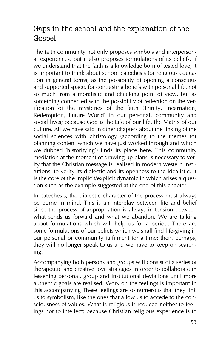### Gaps in the school and the explanation of the Gospel.

The faith community not only proposes symbols and interpersonal experiences, but it also proposes formulations of its beliefs. If we understand that the faith is a knowledge born of tested love, it is important to think about school catechesis (or religious education in general terms) as the possibility of opening a conscious and supported space, for contrasting beliefs with personal life, not so much from a moralistic and checking point of view, but as something connected with the possibility of reflection on the verification of the mysteries of the faith (Trinity, Incarnation, Redemption, Future World) in our personal, community and social lives; because God is the Life of our life, the Matrix of our culture. All we have said in other chapters about the linking of the social sciences with christology (according to the themes for planning content which we have just worked through and which we dubbed 'historifying') finds its place here. This community mediation at the moment of drawing up plans is necessary to verify that the Christian message is realised in modern western institutions, to verify its dialectic and its openness to the idealistic. It is the core of the implicit/explicit dynamic in which arises a question such as the example suggested at the end of this chapter.

In catechesis, the dialectic character of the process must always be borne in mind. This is an interplay between life and belief since the process of appropriation is always in tension between what sends us forward and what we abandon. We are talking about formulations which will help us for a period. There are some formulations of our beliefs which we shall find life-giving in our personal or community fulfilment for a time; then, perhaps, they will no longer speak to us and we have to keep on searching.

Accompanying both persons and groups will consist of a series of therapeutic and creative love strategies in order to collaborate in lessening personal, group and institutional deviations until more authentic goals are realised. Work on the feelings is important in this accompanying These feelings are so numerous that they link us to symbolism, like the ones that allow us to accede to the consciousness of values. What is religious is reduced neither to feelings nor to intellect; because Christian religious experience is to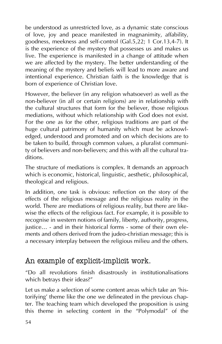be understood as unrestricted love, as a dynamic state conscious of love, joy and peace manifested in magnanimity, affability, goodness, meekness and self-control (Gal.5,22; 1 Cor.13,4-7). It is the experience of the mystery that possesses us and makes us live. The experience is manifested in a change of attitude when we are affected by the mystery. The better understanding of the meaning of the mystery and beliefs will lead to more aware and intentional experience. Christian faith is the knowledge that is born of experience of Christian love.

However, the believer (in any religion whatsoever) as well as the non-believer (in all or certain religions) are in relationship with the cultural structures that form for the believer, those religious mediations, without which relationship with God does not exist. For the one as for the other, religious traditions are part of the huge cultural patrimony of humanity which must be acknowledged, understood and promoted and on which decisions are to be taken to build, through common values, a pluralist community of believers and non-believers; and this with all the cultural traditions.

The structure of mediations is complex. It demands an approach which is economic, historical, linguistic, aesthetic, philosophical, theological and religious.

In addition, one task is obvious: reflection on the story of the effects of the religious message and the religious reality in the world. There are mediations of religious reality, but there are likewise the effects of the religious fact. For example, it is possible to recognise in western notions of family, liberty, authority, progress, justice... - and in their historical forms - some of their own elements and others derived from the judeo-christian message; this is a necessary interplay between the religious milieu and the others.

#### An example of explicit-implicit work.

"Do all revolutions finish disastrously in institutionalisations which betrays their ideas?"

Let us make a selection of some content areas which take an 'historifying' theme like the one we delineated in the previous chapter. The teaching team which developed the proposition is using this theme in selecting content in the "Polymodal" of the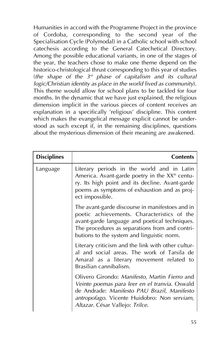Humanities in accord with the Programme Project in the province of Cordoba, corresponding to the second year of the Specialisation Cycle (Polymodal) in a Catholic school with school catechesis according to the General Catechetical Directory. Among the possible educational variants, in one of the stages of the year, the teachers chose to make one theme depend on the historico-christological thrust corresponding to this year of studies (*the shape of the 3rd phase of capitalism and its cultural logic/Christian identity as place in the world lived as community*). This theme would allow for school plans to be tackled for four months. In the dynamic that we have just explained, the religious dimension implicit in the various pieces of content receives an explanation in a specifically 'religious' discipline. This content which makes the evangelical message explicit cannot be understood as such except if, in the remaining disciplines, questions about the mysterious dimension of their meaning are awakened.

| <b>Disciplines</b> | <b>Contents</b>                                                                                                                                                                                                                                 |
|--------------------|-------------------------------------------------------------------------------------------------------------------------------------------------------------------------------------------------------------------------------------------------|
| Language           | Literary periods in the world and in Latin<br>America. Avant-garde poetry in the XX <sup>th</sup> centu-<br>ry. Its high point and its decline. Avant-garde<br>poems as symptoms of exhaustion and as proj-<br>ect impossible.                  |
|                    | The avant-garde discourse in manifestoes and in<br>poetic achievements. Characteristics of the<br>avant-garde language and poetical techniques.<br>The procedures as separations from and contri-<br>butions to the system and linguistic norm. |
|                    | Literary criticism and the link with other cultur-<br>al and social areas. The work of Tarsila de<br>Amaral as a literary movement related to<br>Brasilian cannibalism.                                                                         |
|                    | Olivero Girondo: Manifesto, Martin Fierro and<br>Veinte poemas para leer en el tranvia. Oswald<br>de Andrade: Manifesto PAU Brazil, Manifesto<br>antropofago. Vicente Huidobro: Non serviam,<br>Altazar. César Vallejo: Trilce.                 |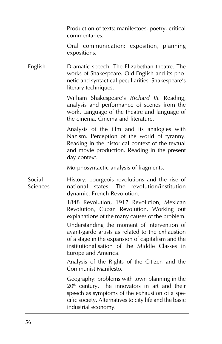|                    | Production of texts: manifestoes, poetry, critical<br>commentaries.                                                                                                                                                                                                                                                                                                                                                                                |
|--------------------|----------------------------------------------------------------------------------------------------------------------------------------------------------------------------------------------------------------------------------------------------------------------------------------------------------------------------------------------------------------------------------------------------------------------------------------------------|
|                    | Oral communication: exposition, planning<br>expositions.                                                                                                                                                                                                                                                                                                                                                                                           |
| English            | Dramatic speech. The Elizabethan theatre. The<br>works of Shakespeare. Old English and its pho-<br>netic and syntactical peculiarities. Shakespeare's<br>literary techniques.                                                                                                                                                                                                                                                                      |
|                    | William Shakespeare's Richard III. Reading,<br>analysis and performance of scenes from the<br>work. Language of the theatre and language of<br>the cinema. Cinema and literature.                                                                                                                                                                                                                                                                  |
|                    | Analysis of the film and its analogies with<br>Nazism. Perception of the world of tyranny.<br>Reading in the historical context of the textual<br>and movie production. Reading in the present<br>day context.                                                                                                                                                                                                                                     |
|                    | Morphosyntactic analysis of fragments.                                                                                                                                                                                                                                                                                                                                                                                                             |
| Social<br>Sciences | History: bourgeois revolutions and the rise of<br>national<br>states. The revolution/institution<br>dynamic: French Revolution.                                                                                                                                                                                                                                                                                                                    |
|                    | 1848 Revolution, 1917 Revolution, Mexican<br>Revolution, Cuban Revolution. Working out<br>explanations of the many causes of the problem.<br>Understanding the moment of intervention of<br>avant-garde artists as related to the exhaustion<br>of a stage in the expansion of capitalism and the<br>institutionalisation of the Middle Classes in<br>Europe and America.<br>Analysis of the Rights of the Citizen and the<br>Communist Manifesto. |
|                    | Geography: problems with town planning in the<br>20 <sup>th</sup> century. The innovators in art and their<br>speech as symptoms of the exhaustion of a spe-<br>cific society. Alternatives to city life and the basic<br>industrial economy.                                                                                                                                                                                                      |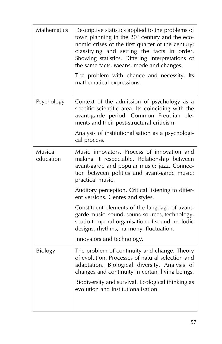| Mathematics          | Descriptive statistics applied to the problems of<br>town planning in the 20 <sup>th</sup> century and the eco-<br>nomic crises of the first quarter of the century:<br>classifying and setting the facts in order.<br>Showing statistics. Differing interpretations of<br>the same facts. Means, mode and changes.<br>The problem with chance and necessity. Its<br>mathematical expressions. |
|----------------------|------------------------------------------------------------------------------------------------------------------------------------------------------------------------------------------------------------------------------------------------------------------------------------------------------------------------------------------------------------------------------------------------|
| Psychology           | Context of the admission of psychology as a<br>specific scientific area. Its coinciding with the<br>avant-garde period. Common Freudian ele-<br>ments and their post-structural criticism.<br>Analysis of institutionalisation as a psychologi-<br>cal process.                                                                                                                                |
| Musical<br>education | Music innovators. Process of innovation and<br>making it respectable. Relationship between<br>avant-garde and popular music: jazz. Connec-<br>tion between politics and avant-garde music:<br>practical music.                                                                                                                                                                                 |
|                      | Auditory perception. Critical listening to differ-<br>ent versions. Genres and styles.                                                                                                                                                                                                                                                                                                         |
|                      | Constituent elements of the language of avant-<br>garde music: sound, sound sources, technology,<br>spatio-temporal organisation of sound, melodic<br>designs, rhythms, harmony, fluctuation.                                                                                                                                                                                                  |
|                      | Innovators and technology.                                                                                                                                                                                                                                                                                                                                                                     |
| <b>Biology</b>       | The problem of continuity and change. Theory<br>of evolution. Processes of natural selection and<br>adaptation. Biological diversity. Analysis of<br>changes and continuity in certain living beings.                                                                                                                                                                                          |
|                      | Biodiversity and survival. Ecological thinking as<br>evolution and institutionalisation.                                                                                                                                                                                                                                                                                                       |
|                      |                                                                                                                                                                                                                                                                                                                                                                                                |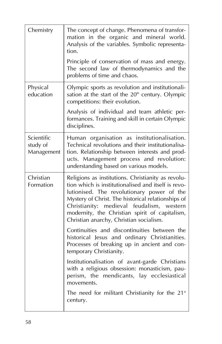| Chemistry                            | The concept of change. Phenomena of transfor-<br>mation in the organic and mineral world.<br>Analysis of the variables. Symbolic representa-<br>tion.<br>Principle of conservation of mass and energy.<br>The second law of thermodynamics and the<br>problems of time and chaos.                                                                       |
|--------------------------------------|---------------------------------------------------------------------------------------------------------------------------------------------------------------------------------------------------------------------------------------------------------------------------------------------------------------------------------------------------------|
| Physical<br>education                | Olympic sports as revolution and institutionali-<br>sation at the start of the 20 <sup>th</sup> century. Olympic<br>competitions: their evolution.                                                                                                                                                                                                      |
|                                      | Analysis of individual and team athletic per-<br>formances. Training and skill in certain Olympic<br>disciplines.                                                                                                                                                                                                                                       |
| Scientific<br>study of<br>Management | Human organisation as institutionalisation.<br>Technical revolutions and their institutionalisa-<br>tion. Relationship between interests and prod-<br>ucts. Management process and revolution:<br>understanding based on various models.                                                                                                                |
| Christian<br>Formation               | Religions as institutions. Christianity as revolu-<br>tion which is institutionalised and itself is revo-<br>lutionised. The revolutionary power of the<br>Mystery of Christ. The historical relationships of<br>Christianity: medieval feudalism, western<br>modernity, the Christian spirit of capitalism,<br>Christian anarchy, Christian socialism. |
|                                      | Continuities and discontinuities between the<br>historical Jesus and ordinary Christianities.<br>Processes of breaking up in ancient and con-<br>temporary Christianity.                                                                                                                                                                                |
|                                      | Institutionalisation of avant-garde Christians<br>with a religious obsession: monasticism, pau-<br>perism, the mendicants, lay ecclesiastical<br>movements.                                                                                                                                                                                             |
|                                      | The need for militant Christianity for the $21*$<br>century.                                                                                                                                                                                                                                                                                            |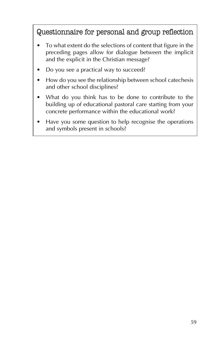Questionnaire for personal and group reflection

- To what extent do the selections of content that figure in the preceding pages allow for dialogue between the implicit and the explicit in the Christian message?
- Do you see a practical way to succeed?
- How do you see the relationship between school catechesis and other school disciplines?
- What do you think has to be done to contribute to the building up of educational pastoral care starting from your concrete performance within the educational work?
- Have you some question to help recognise the operations and symbols present in schools?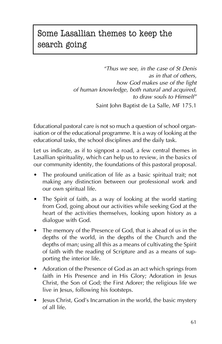# Some Lasallian themes to keep the search going

*"Thus we see, in the case of St Denis as in that of others, how God makes use of the light of human knowledge, both natural and acquired, to draw souls to Himself"* Saint John Baptist de La Salle, MF 175.1

Educational pastoral care is not so much a question of school organisation or of the educational programme. It is a way of looking at the educational tasks, the school disciplines and the daily task.

Let us indicate, as if to signpost a road, a few central themes in Lasallian spirituality, which can help us to review, in the basics of our community identity, the foundations of this pastoral proposal.

- The profound unification of life as a basic spiritual trait; not making any distinction between our professional work and our own spiritual life.
- The Spirit of faith, as a way of looking at the world starting from God, going about our activities while seeking God at the heart of the activities themselves, looking upon history as a dialogue with God.
- The memory of the Presence of God, that is ahead of us in the depths of the world, in the depths of the Church and the depths of man; using all this as a means of cultivating the Spirit of faith with the reading of Scripture and as a means of supporting the interior life.
- Adoration of the Presence of God as an act which springs from faith in His Presence and in His Glory; Adoration in Jesus Christ, the Son of God; the First Adorer; the religious life we live in Jesus, following his footsteps.
- Jesus Christ, God's Incarnation in the world, the basic mystery of all life.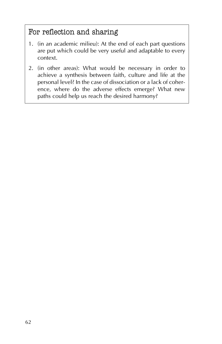### For reflection and sharing

- 1. (in an academic milieu): At the end of each part questions are put which could be very useful and adaptable to every context.
- 2. (in other areas): What would be necessary in order to achieve a synthesis between faith, culture and life at the personal level? In the case of dissociation or a lack of coherence, where do the adverse effects emerge? What new paths could help us reach the desired harmony?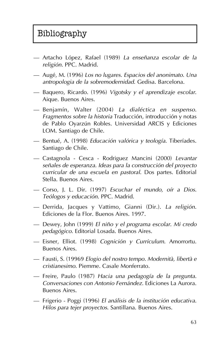# Bibliography

- Artacho López, Rafael (1989) *La enseñanza escolar de la religión*. PPC. Madrid.
- Augé, M. (1996) *Los no lugares. Espacios del anonimato. Una antropologia de la sobremodernidad*. Gedisa. Barcelona.
- Baquero, Ricardo. (1996) *Vigotsky y el aprendizaje escolar*. Aique. Buenos Aires.
- Benjamín, Walter (2004) *La dialéctica en suspenso. Fragmentos sobre la historia* Traducción, introducción y notas de Pablo Oyarzún Robles. Universidad ARCIS y Ediciones LOM. Santiago de Chile.
- Bentué, A. (1998) *Educación valórica y teología*. Tiberíades. Santiago de Chile.
- Castagnola Cesca Rodriguez Mancini (2000) *Levantar señales de esperanza. Ideas para la construcción del proyecto curricular de una escuela en pastoral*. Dos partes. Editorial Stella. Buenos Aires.
- Corso, J. L. Dir. (1997) *Escuchar el mundo, oír a Dios. Teólogos y educación*. PPC. Madrid.
- Derrida, Jacques y Vattimo, Gianni (Dir.). *La religión*. Ediciones de la Flor. Buenos Aires. 1997.
- Dewey, John (1999) *El niño y el programa escolar. Mi credo pedagógico*. Editorial Losada. Buenos Aires.
- Eisner, Elliot. (1998) *Cognición y Currículum*. Amorrortu. Buenos Aires.
- Fausti, S. (19969 *Elogio del nostro tempo. Modernità, libertà e cristianesimo*. Piemme. Casale Monferrato.
- Freire, Paulo (1987) *Hacia una pedagogía de la pregunta. Conversaciones con Antonio Fernández*. Ediciones La Aurora. Buenos Aires.
- Frigerio Poggi (1996) *El análisis de la institución educativa. Hilos para tejer proyectos*. Santillana. Buenos Aires.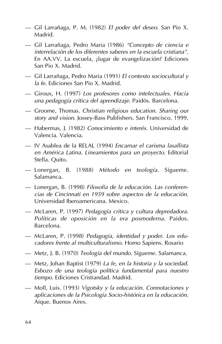- Gil Larrañaga, P. M. (1982) *El poder del deseo*. San Pio X. Madrid.
- Gil Larrañaga, Pedro Maria (1986) *"Concepto de ciencia e interrelación de los diferentes saberes en la escuela cristiana"*. En AA.VV. La escuela, ¿lugar de evangelización? Ediciones San Pio X. Madrid.
- Gil Larrañaga, Pedro Maria (1991) *El contexto sociocultural y la fe*. Ediciones San Pio X. Madrid.
- Giroux, H. (1997) *Los profesores como intelectuales. Hacia una pedagogía crítica del aprendizaje*. Paidós. Barcelona.
- Groome, Thomas. *Christian religious education. Sharing our story and vision*. Jossey-Bass Publishers. San Francisco. 1999.
- Habermas, J. (1982) *Conocimiento e interés*. Universidad de Valencia. Valencia.
- IV Asablea de la RELAL (1994) *Encarnar el carisma lasallista en América Latina. Lineamientos para un proyecto*. Editorial Stella. Quito.
- Lonergan, B. (1988) *Método en teología*. Sígueme. Salamanca.
- Lonergan, B. (1998) *Filosofía de la educación. Las conferencias de Cincinnati en 1959 sobre aspectos de la educación*. Universidad Iberoamericana. Mexico.
- McLaren, P. (1997) *Pedagogía crítica y cultura depredadora. Políticas de oposición en la era posmoderna*. Paidos. Barcelona.
- McLaren, P. (1998) *Pedagogía, identidad y poder. Los educadores frente al multiculturalismo*. Homo Sapiens. Rosario
- Metz, J. B. (1970) *Teología del mundo*. Sígueme. Salamanca.
- Metz, Johan Baptist (1979) *La fe, en la historia y la sociedad. Esbozo de una teología política fundamental para nuestro tiempo*. Ediciones Cristiandad. Madrid.
- Moll, Luis. (1993) *Vigotsky y la educación. Connotaciones y aplicaciones de la Psicología Socio-histórica en la educación*. Aique. Buenos Aires.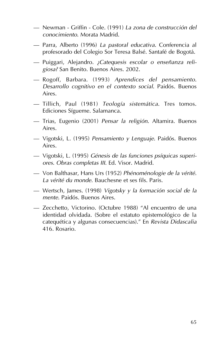- Newman Griffin Cole. (1991) *La zona de construcción del conocimiento*. Morata Madrid.
- Parra, Alberto (1996) *La pastoral educativa*. Conferencia al profesorado del Colegio Sor Teresa Balsé. Santafé de Bogotá.
- Puiggari, Alejandro. *¿Catequesis escolar o enseñanza religiosa?* San Benito. Buenos Aires. 2002.
- Rogoff, Barbara. (1993) *Aprendices del pensamiento. Desarrollo cognitivo en el contexto social*. Paidós. Buenos Aires.
- Tillich, Paul (1981) *Teología sistemática*. Tres tomos. Ediciones Sígueme. Salamanca.
- Trias, Eugenio (2001) *Pensar la religión*. Altamira. Buenos Aires.
- Vigotski, L. (1995) *Pensamiento y Lenguaje*. Paidós. Buenos Aires.
- Vigotski, L. (1995) *Génesis de las funciones psíquicas superiores. Obras completas III*. Ed. Visor. Madrid.
- Von Balthasar, Hans Urs (1952) *Phénoménologie de la vérité. La vérité du monde*. Bauchesne et ses fils. Paris.
- Wertsch, James. (1998) *Vigotsky y la formación social de la mente*. Paidós. Buenos Aires.
- Zecchetto, Victorino. (Octubre 1988) "Al encuentro de una identidad olvidada. (Sobre el estatuto epistemológico de la catequética y algunas consecuencias)." En *Revista Didascalia* 416. Rosario.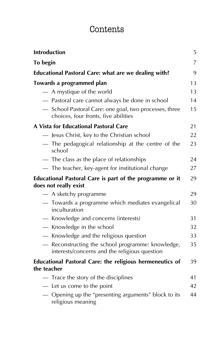# Contents

| <b>Introduction</b>                                                                              | 5  |
|--------------------------------------------------------------------------------------------------|----|
| To begin                                                                                         | 7  |
| Educational Pastoral Care: what are we dealing with?                                             | 9  |
| Towards a programmed plan                                                                        |    |
| - A mystique of the world                                                                        | 13 |
| - Pastoral care cannot always be done in school                                                  | 14 |
| - School Pastoral Care: one goal, two processes, three<br>choices, four fronts, five abilities   | 15 |
| A Vista for Educational Pastoral Care                                                            | 21 |
| Jesus Christ, key to the Christian school                                                        | 22 |
| - The pedagogical relationship at the centre of the<br>school                                    | 23 |
| - The class as the place of relationships                                                        | 24 |
| - The teacher, key-agent for institutional change                                                | 27 |
| Educational Pastoral Care is part of the programme or it<br>does not really exist                | 29 |
| - A sketchy programme                                                                            | 29 |
| - Towards a programme which mediates evangelical<br>inculturation                                | 30 |
| - Knowledge and concerns (interests)                                                             | 31 |
| - Knowledge in the school                                                                        | 32 |
| - Knowledge and the religious question                                                           | 33 |
| Reconstructing the school programme: knowledge,<br>interests/concerns and the religious question | 35 |
| Educational Pastoral Care: the religious hermeneutics of<br>the teacher                          | 39 |
| - Trace the story of the disciplines                                                             | 41 |
| - Let us come to the point                                                                       | 42 |
| — Opening up the "presenting arguments" block to its<br>religious meaning                        | 44 |